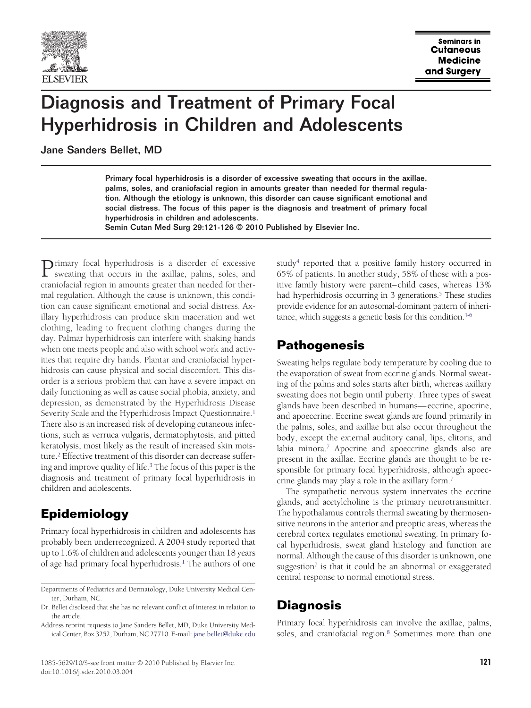

# Diagnosis and Treatment of Primary Focal Hyperhidrosis in Children and Adolescents

Jane Sanders Bellet, MD

Primary focal hyperhidrosis is a disorder of excessive sweating that occurs in the axillae, palms, soles, and craniofacial region in amounts greater than needed for thermal regulation. Although the etiology is unknown, this disorder can cause significant emotional and social distress. The focus of this paper is the diagnosis and treatment of primary focal hyperhidrosis in children and adolescents.

Semin Cutan Med Surg 29:121-126 © 2010 Published by Elsevier Inc.

**Primary** focal hyperhidrosis is a disorder of excessive sweating that occurs in the axillae, palms, soles, and craniofacial region in amounts greater than needed for thermal regulation. Although the cause is unknown, this condition can cause significant emotional and social distress. Axillary hyperhidrosis can produce skin maceration and wet clothing, leading to frequent clothing changes during the day. Palmar hyperhidrosis can interfere with shaking hands when one meets people and also with school work and activities that require dry hands. Plantar and craniofacial hyperhidrosis can cause physical and social discomfort. This disorder is a serious problem that can have a severe impact on daily functioning as well as cause social phobia, anxiety, and depression, as demonstrated by the Hyperhidrosis Disease Severity Scale and the Hyperhidrosis Impact Questionnaire.<sup>1</sup> There also is an increased risk of developing cutaneous infections, such as verruca vulgaris, dermatophytosis, and pitted keratolysis, most likely as the result of increased skin moisture[.2](#page-4-0) Effective treatment of this disorder can decrease suffering and improve quality of life[.3](#page-4-0) The focus of this paper is the diagnosis and treatment of primary focal hyperhidrosis in children and adolescents.

# **Epidemiology**

Primary focal hyperhidrosis in children and adolescents has probably been underrecognized. A 2004 study reported that up to 1.6% of children and adolescents younger than 18 years of age had primary focal hyperhidrosis.<sup>1</sup> The authors of one

study<sup>4</sup> reported that a positive family history occurred in 65% of patients. In another study, 58% of those with a positive family history were parent– child cases, whereas 13% had hyperhidrosis occurring in 3 generations.<sup>5</sup> These studies provide evidence for an autosomal-dominant pattern of inheritance, which suggests a genetic basis for this condition.<sup>4-6</sup>

# **Pathogenesis**

Sweating helps regulate body temperature by cooling due to the evaporation of sweat from eccrine glands. Normal sweating of the palms and soles starts after birth, whereas axillary sweating does not begin until puberty. Three types of sweat glands have been described in humans— eccrine, apocrine, and apoeccrine. Eccrine sweat glands are found primarily in the palms, soles, and axillae but also occur throughout the body, except the external auditory canal, lips, clitoris, and labia minora[.7](#page-4-0) Apocrine and apoeccrine glands also are present in the axillae. Eccrine glands are thought to be responsible for primary focal hyperhidrosis, although apoeccrine glands may play a role in the axillary form[.7](#page-4-0)

The sympathetic nervous system innervates the eccrine glands, and acetylcholine is the primary neurotransmitter. The hypothalamus controls thermal sweating by thermosensitive neurons in the anterior and preoptic areas, whereas the cerebral cortex regulates emotional sweating. In primary focal hyperhidrosis, sweat gland histology and function are normal. Although the cause of this disorder is unknown, one suggestion<sup>7</sup> is that it could be an abnormal or exaggerated central response to normal emotional stress.

# **Diagnosis**

Primary focal hyperhidrosis can involve the axillae, palms, soles, and craniofacial region.<sup>8</sup> Sometimes more than one

Departments of Pediatrics and Dermatology, Duke University Medical Center, Durham, NC.

Dr. Bellet disclosed that she has no relevant conflict of interest in relation to the article.

Address reprint requests to Jane Sanders Bellet, MD, Duke University Medical Center, Box 3252, Durham, NC 27710. E-mail: [jane.bellet@duke.edu](mailto:jane.bellet@duke.edu)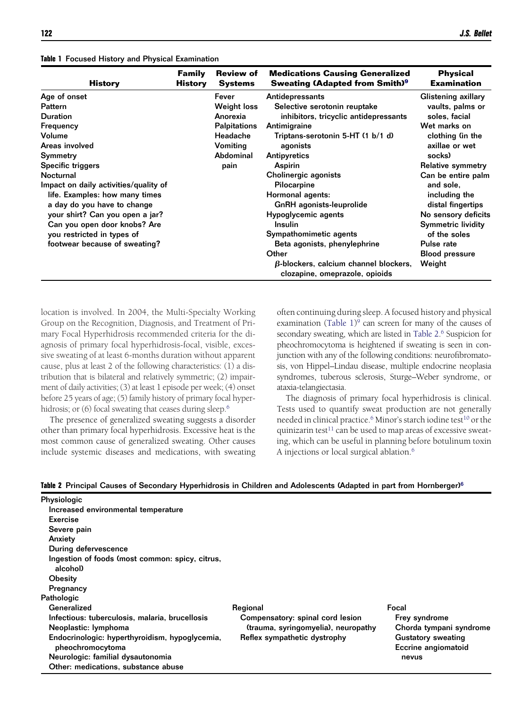| <b>History</b>                                                | <b>Family</b><br>History | <b>Review of</b><br><b>Systems</b> | <b>Medications Causing Generalized</b><br><b>Sweating (Adapted from Smith)</b> <sup>9</sup> | <b>Physical</b><br><b>Examination</b> |
|---------------------------------------------------------------|--------------------------|------------------------------------|---------------------------------------------------------------------------------------------|---------------------------------------|
| Age of onset                                                  |                          | Fever                              | Antidepressants                                                                             | Glistening axillary                   |
| <b>Pattern</b>                                                |                          | Weight loss                        | Selective serotonin reuptake                                                                | vaults, palms or                      |
| <b>Duration</b>                                               |                          | Anorexia                           | inhibitors, tricyclic antidepressants                                                       | soles, facial                         |
| Frequency                                                     |                          | <b>Palpitations</b>                | Antimigraine                                                                                | Wet marks on                          |
| Volume                                                        |                          | Headache                           | Triptans-serotonin 5-HT (1 b/1 d)                                                           | clothing (in the                      |
| Areas involved                                                |                          | Vomiting                           | agonists                                                                                    | axillae or wet                        |
| Symmetry                                                      |                          | Abdominal                          | Antipyretics                                                                                | socks)                                |
| Specific triggers                                             |                          | pain                               | Aspirin                                                                                     | Relative symmetry                     |
| Nocturnal<br>Impact on daily activities/quality of            |                          |                                    | Cholinergic agonists<br>Pilocarpine                                                         | Can be entire palm<br>and sole.       |
| life. Examples: how many times<br>a day do you have to change |                          |                                    | Hormonal agents:<br>GnRH agonists-leuprolide                                                | including the<br>distal fingertips    |
| your shirt? Can you open a jar?                               |                          |                                    | Hypoglycemic agents                                                                         | No sensory deficits                   |
| Can you open door knobs? Are                                  |                          |                                    | <b>Insulin</b>                                                                              | <b>Symmetric lividity</b>             |
| you restricted in types of                                    |                          |                                    | Sympathomimetic agents                                                                      | of the soles                          |
| footwear because of sweating?                                 |                          |                                    | Beta agonists, phenylephrine                                                                | Pulse rate                            |
|                                                               |                          |                                    | Other                                                                                       | <b>Blood pressure</b>                 |
|                                                               |                          |                                    | $\beta$ -blockers, calcium channel blockers,<br>clozapine, omeprazole, opioids              | Weight                                |

location is involved. In 2004, the Multi-Specialty Working Group on the Recognition, Diagnosis, and Treatment of Primary Focal Hyperhidrosis recommended criteria for the diagnosis of primary focal hyperhidrosis-focal, visible, excessive sweating of at least 6-months duration without apparent cause, plus at least 2 of the following characteristics: (1) a distribution that is bilateral and relatively symmetric; (2) impairment of daily activities; (3) at least 1 episode per week; (4) onset before 25 years of age; (5) family history of primary focal hyperhidrosis; or (6) focal sweating that ceases during sleep.<sup>6</sup>

The presence of generalized sweating suggests a disorder other than primary focal hyperhidrosis. Excessive heat is the most common cause of generalized sweating. Other causes include systemic diseases and medications, with sweating often continuing during sleep. A focused history and physical examination (Table  $1$ )<sup>9</sup> can screen for many of the causes of secondary sweating, which are listed in Table 2. [6](#page-4-0) Suspicion for pheochromocytoma is heightened if sweating is seen in conjunction with any of the following conditions: neurofibromatosis, von Hippel–Lindau disease, multiple endocrine neoplasia syndromes, tuberous sclerosis, Sturge–Weber syndrome, or ataxia-telangiectasia.

The diagnosis of primary focal hyperhidrosis is clinical. Tests used to quantify sweat production are not generally needed in clinical practice.<sup>6</sup> Minor's starch iodine test<sup>10</sup> or the quinizarin test<sup>11</sup> can be used to map areas of excessive sweating, which can be useful in planning before botulinum toxin A injections or local surgical ablation[.6](#page-4-0)

#### **Table 2** Principal Causes of Secondary Hyperhidrosis in Children and Adolescents (Adapted in part from Hornberger[\)6](#page-4-0)

| <b>Physiologic</b>                                                 |                                     |                                                  |
|--------------------------------------------------------------------|-------------------------------------|--------------------------------------------------|
| Increased environmental temperature                                |                                     |                                                  |
| Exercise                                                           |                                     |                                                  |
| Severe pain                                                        |                                     |                                                  |
| Anxiety                                                            |                                     |                                                  |
| During defervescence                                               |                                     |                                                  |
| Ingestion of foods (most common: spicy, citrus,<br>alcohol)        |                                     |                                                  |
| <b>Obesity</b>                                                     |                                     |                                                  |
| Pregnancy                                                          |                                     |                                                  |
| Pathologic                                                         |                                     |                                                  |
| Generalized                                                        | Regional                            | Focal                                            |
| Infectious: tuberculosis, malaria, brucellosis                     | Compensatory: spinal cord lesion    | Frey syndrome                                    |
| Neoplastic: lymphoma                                               | (trauma, syringomyelia), neuropathy | Chorda tympani syndrome                          |
| Endocrinologic: hyperthyroidism, hypoglycemia,<br>pheochromocytoma | Reflex sympathetic dystrophy        | <b>Gustatory sweating</b><br>Eccrine angiomatoid |
| Neurologic: familial dysautonomia                                  |                                     | nevus                                            |
| Other: medications. substance abuse                                |                                     |                                                  |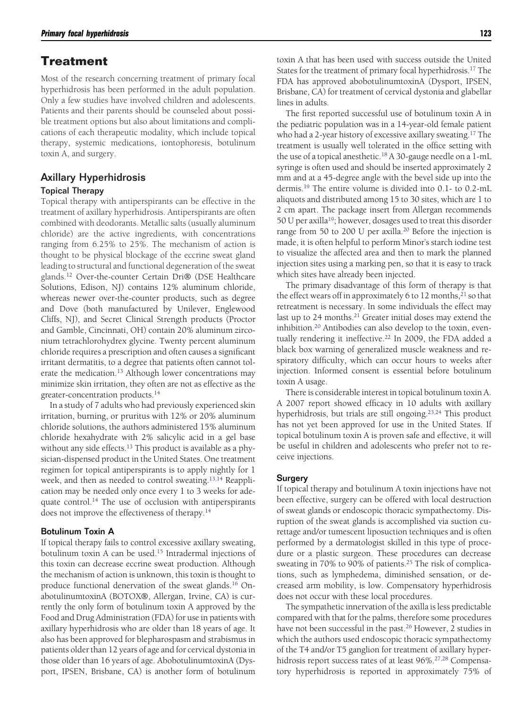### **Treatment**

Most of the research concerning treatment of primary focal hyperhidrosis has been performed in the adult population. Only a few studies have involved children and adolescents. Patients and their parents should be counseled about possible treatment options but also about limitations and complications of each therapeutic modality, which include topical therapy, systemic medications, iontophoresis, botulinum toxin A, and surgery.

### Axillary Hyperhidrosis

#### Topical Therapy

Topical therapy with antiperspirants can be effective in the treatment of axillary hyperhidrosis. Antiperspirants are often combined with deodorants. Metallic salts (usually aluminum chloride) are the active ingredients, with concentrations ranging from 6.25% to 25%. The mechanism of action is thought to be physical blockage of the eccrine sweat gland leading to structural and functional degeneration of the sweat glands[.12](#page-4-0) Over-the-counter Certain Dri® (DSE Healthcare Solutions, Edison, NJ) contains 12% aluminum chloride, whereas newer over-the-counter products, such as degree and Dove (both manufactured by Unilever, Englewood Cliffs, NJ), and Secret Clinical Strength products (Proctor and Gamble, Cincinnati, OH) contain 20% aluminum zirconium tetrachlorohydrex glycine. Twenty percent aluminum chloride requires a prescription and often causes a significant irritant dermatitis, to a degree that patients often cannot tolerate the medication.<sup>13</sup> Although lower concentrations may minimize skin irritation, they often are not as effective as the greater-concentration products[.14](#page-4-0)

In a study of 7 adults who had previously experienced skin irritation, burning, or pruritus with 12% or 20% aluminum chloride solutions, the authors administered 15% aluminum chloride hexahydrate with 2% salicylic acid in a gel base without any side effects.<sup>13</sup> This product is available as a physician-dispensed product in the United States. One treatment regimen for topical antiperspirants is to apply nightly for 1 week, and then as needed to control sweating[.13,14](#page-4-0) Reapplication may be needed only once every 1 to 3 weeks for adequate control.<sup>14</sup> The use of occlusion with antiperspirants does not improve the effectiveness of therapy.<sup>14</sup>

#### Botulinum Toxin A

If topical therapy fails to control excessive axillary sweating, botulinum toxin A can be used.<sup>15</sup> Intradermal injections of this toxin can decrease eccrine sweat production. Although the mechanism of action is unknown, this toxin is thought to produce functional denervation of the sweat glands.<sup>16</sup> OnabotulinumtoxinA (BOTOX®, Allergan, Irvine, CA) is currently the only form of botulinum toxin A approved by the Food and Drug Administration (FDA) for use in patients with axillary hyperhidrosis who are older than 18 years of age. It also has been approved for blepharospasm and strabismus in patients older than 12 years of age and for cervical dystonia in those older than 16 years of age. AbobotulinumtoxinA (Dysport, IPSEN, Brisbane, CA) is another form of botulinum

toxin A that has been used with success outside the United States for the treatment of primary focal hyperhidrosis[.17](#page-4-0) The FDA has approved abobotulinumtoxinA (Dysport, IPSEN, Brisbane, CA) for treatment of cervical dystonia and glabellar lines in adults.

The first reported successful use of botulinum toxin A in the pediatric population was in a 14-year-old female patient who had a 2-year history of excessive axillary sweating[.17](#page-4-0) The treatment is usually well tolerated in the office setting with the use of a topical anesthetic[.18](#page-4-0) A 30-gauge needle on a 1-mL syringe is often used and should be inserted approximately 2 mm and at a 45-degree angle with the bevel side up into the dermis[.19](#page-4-0) The entire volume is divided into 0.1- to 0.2-mL aliquots and distributed among 15 to 30 sites, which are 1 to 2 cm apart. The package insert from Allergan recommends 50 U per axilla<sup>19</sup>; however, dosages used to treat this disorder range from 50 to 200 U per axilla.<sup>20</sup> Before the injection is made, it is often helpful to perform Minor's starch iodine test to visualize the affected area and then to mark the planned injection sites using a marking pen, so that it is easy to track which sites have already been injected.

The primary disadvantage of this form of therapy is that the effect wears off in approximately 6 to 12 months, $21$  so that retreatment is necessary. In some individuals the effect may last up to 24 months.<sup>21</sup> Greater initial doses may extend the inhibition[.20](#page-4-0) Antibodies can also develop to the toxin, eventually rendering it ineffective.<sup>22</sup> In 2009, the FDA added a black box warning of generalized muscle weakness and respiratory difficulty, which can occur hours to weeks after injection. Informed consent is essential before botulinum toxin A usage.

There is considerable interest in topical botulinum toxin A. A 2007 report showed efficacy in 10 adults with axillary hyperhidrosis, but trials are still ongoing.<sup>23,24</sup> This product has not yet been approved for use in the United States. If topical botulinum toxin A is proven safe and effective, it will be useful in children and adolescents who prefer not to receive injections.

#### **Surgery**

If topical therapy and botulinum A toxin injections have not been effective, surgery can be offered with local destruction of sweat glands or endoscopic thoracic sympathectomy. Disruption of the sweat glands is accomplished via suction curettage and/or tumescent liposuction techniques and is often performed by a dermatologist skilled in this type of procedure or a plastic surgeon. These procedures can decrease sweating in 70% to 90% of patients.<sup>25</sup> The risk of complications, such as lymphedema, diminished sensation, or decreased arm mobility, is low. Compensatory hyperhidrosis does not occur with these local procedures.

The sympathetic innervation of the axilla is less predictable compared with that for the palms, therefore some procedures have not been successful in the past.<sup>26</sup> However, 2 studies in which the authors used endoscopic thoracic sympathectomy of the T4 and/or T5 ganglion for treatment of axillary hyperhidrosis report success rates of at least 96%[.27,28](#page-5-0) Compensatory hyperhidrosis is reported in approximately 75% of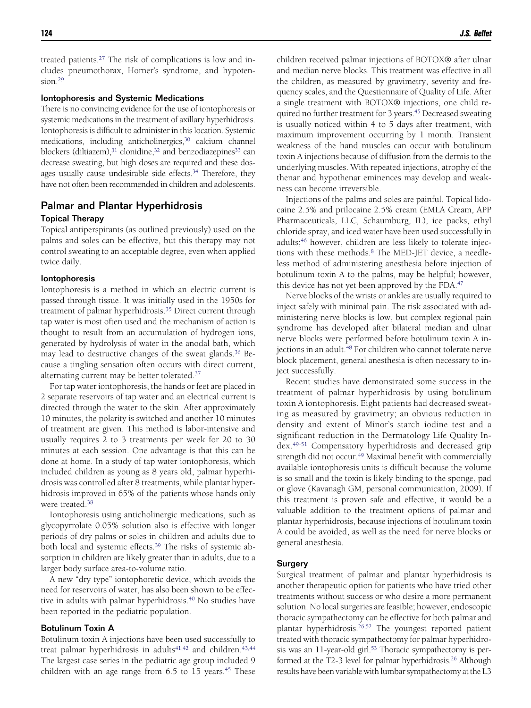treated patients[.27](#page-5-0) The risk of complications is low and includes pneumothorax, Horner's syndrome, and hypoten $sion<sup>29</sup>$ 

#### Iontophoresis and Systemic Medications

There is no convincing evidence for the use of iontophoresis or systemic medications in the treatment of axillary hyperhidrosis. Iontophoresis is difficult to administer in this location. Systemic medications, including anticholinergics,<sup>30</sup> calcium channel blockers (diltiazem),<sup>31</sup> clonidine,<sup>32</sup> and benzodiazepines<sup>33</sup> can decrease sweating, but high doses are required and these dosages usually cause undesirable side effects.<sup>34</sup> Therefore, they have not often been recommended in children and adolescents.

### Palmar and Plantar Hyperhidrosis

#### Topical Therapy

Topical antiperspirants (as outlined previously) used on the palms and soles can be effective, but this therapy may not control sweating to an acceptable degree, even when applied twice daily.

#### Iontophoresis

Iontophoresis is a method in which an electric current is passed through tissue. It was initially used in the 1950s for treatment of palmar hyperhidrosis.<sup>35</sup> Direct current through tap water is most often used and the mechanism of action is thought to result from an accumulation of hydrogen ions, generated by hydrolysis of water in the anodal bath, which may lead to destructive changes of the sweat glands.<sup>36</sup> Because a tingling sensation often occurs with direct current, alternating current may be better tolerated.<sup>37</sup>

For tap water iontophoresis, the hands or feet are placed in 2 separate reservoirs of tap water and an electrical current is directed through the water to the skin. After approximately 10 minutes, the polarity is switched and another 10 minutes of treatment are given. This method is labor-intensive and usually requires 2 to 3 treatments per week for 20 to 30 minutes at each session. One advantage is that this can be done at home. In a study of tap water iontophoresis, which included children as young as 8 years old, palmar hyperhidrosis was controlled after 8 treatments, while plantar hyperhidrosis improved in 65% of the patients whose hands only were treated.<sup>38</sup>

Iontophoresis using anticholinergic medications, such as glycopyrrolate 0.05% solution also is effective with longer periods of dry palms or soles in children and adults due to both local and systemic effects.<sup>39</sup> The risks of systemic absorption in children are likely greater than in adults, due to a larger body surface area-to-volume ratio.

A new "dry type" iontophoretic device, which avoids the need for reservoirs of water, has also been shown to be effective in adults with palmar hyperhidrosis.<sup>40</sup> No studies have been reported in the pediatric population.

#### Botulinum Toxin A

Botulinum toxin A injections have been used successfully to treat palmar hyperhidrosis in adults $41,42$  and children.  $43,44$ The largest case series in the pediatric age group included 9 children with an age range from  $6.5$  to  $15$  years.<sup>45</sup> These children received palmar injections of BOTOX® after ulnar and median nerve blocks. This treatment was effective in all the children, as measured by gravimetry, severity and frequency scales, and the Questionnaire of Quality of Life. After a single treatment with BOTOX® injections, one child required no further treatment for 3 years.<sup>45</sup> Decreased sweating is usually noticed within 4 to 5 days after treatment, with maximum improvement occurring by 1 month. Transient weakness of the hand muscles can occur with botulinum toxin A injections because of diffusion from the dermis to the underlying muscles. With repeated injections, atrophy of the thenar and hypothenar eminences may develop and weakness can become irreversible.

Injections of the palms and soles are painful. Topical lidocaine 2.5% and prilocaine 2.5% cream (EMLA Cream, APP Pharmaceuticals, LLC, Schaumburg, IL), ice packs, ethyl chloride spray, and iced water have been used successfully in adults;<sup>46</sup> however, children are less likely to tolerate injections with these methods.<sup>8</sup> The MED-JET device, a needleless method of administering anesthesia before injection of botulinum toxin A to the palms, may be helpful; however, this device has not yet been approved by the FDA.<sup>47</sup>

Nerve blocks of the wrists or ankles are usually required to inject safely with minimal pain. The risk associated with administering nerve blocks is low, but complex regional pain syndrome has developed after bilateral median and ulnar nerve blocks were performed before botulinum toxin A injections in an adult.<sup>48</sup> For children who cannot tolerate nerve block placement, general anesthesia is often necessary to inject successfully.

Recent studies have demonstrated some success in the treatment of palmar hyperhidrosis by using botulinum toxin A iontophoresis. Eight patients had decreased sweating as measured by gravimetry; an obvious reduction in density and extent of Minor's starch iodine test and a significant reduction in the Dermatology Life Quality Index[.49-51](#page-5-0) Compensatory hyperhidrosis and decreased grip strength did not occur.<sup>49</sup> Maximal benefit with commercially available iontophoresis units is difficult because the volume is so small and the toxin is likely binding to the sponge, pad or glove (Kavanagh GM, personal communication, 2009). If this treatment is proven safe and effective, it would be a valuable addition to the treatment options of palmar and plantar hyperhidrosis, because injections of botulinum toxin A could be avoided, as well as the need for nerve blocks or general anesthesia.

#### **Surgery**

Surgical treatment of palmar and plantar hyperhidrosis is another therapeutic option for patients who have tried other treatments without success or who desire a more permanent solution. No local surgeries are feasible; however, endoscopic thoracic sympathectomy can be effective for both palmar and plantar hyperhidrosis[.26,52](#page-5-0) The youngest reported patient treated with thoracic sympathectomy for palmar hyperhidrosis was an 11-year-old girl.<sup>53</sup> Thoracic sympathectomy is performed at the T2-3 level for palmar hyperhidrosis.<sup>26</sup> Although results have been variable with lumbar sympathectomy at the L3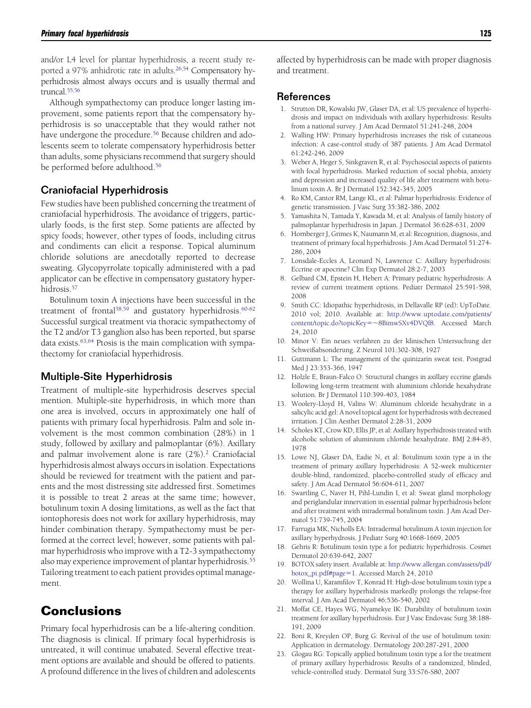<span id="page-4-0"></span>and/or L4 level for plantar hyperhidrosis, a recent study reported a 97% anhidrotic rate in adults.<sup>26,54</sup> Compensatory hyperhidrosis almost always occurs and is usually thermal and truncal[.55,56](#page-5-0)

Although sympathectomy can produce longer lasting improvement, some patients report that the compensatory hyperhidrosis is so unacceptable that they would rather not have undergone the procedure.<sup>56</sup> Because children and adolescents seem to tolerate compensatory hyperhidrosis better than adults, some physicians recommend that surgery should be performed before adulthood.<sup>56</sup>

#### Craniofacial Hyperhidrosis

Few studies have been published concerning the treatment of craniofacial hyperhidrosis. The avoidance of triggers, particularly foods, is the first step. Some patients are affected by spicy foods; however, other types of foods, including citrus and condiments can elicit a response. Topical aluminum chloride solutions are anecdotally reported to decrease sweating. Glycopyrrolate topically administered with a pad applicator can be effective in compensatory gustatory hyperhidrosis[.57](#page-5-0)

Botulinum toxin A injections have been successful in the treatment of frontal<sup>58,59</sup> and gustatory hyperhidrosis.<sup>60-62</sup> Successful surgical treatment via thoracic sympathectomy of the T2 and/or T3 ganglion also has been reported, but sparse data exists.<sup>63,64</sup> Ptosis is the main complication with sympathectomy for craniofacial hyperhidrosis.

#### Multiple-Site Hyperhidrosis

Treatment of multiple-site hyperhidrosis deserves special mention. Multiple-site hyperhidrosis, in which more than one area is involved, occurs in approximately one half of patients with primary focal hyperhidrosis. Palm and sole involvement is the most common combination (28%) in 1 study, followed by axillary and palmoplantar (6%). Axillary and palmar involvement alone is rare (2%).2 Craniofacial hyperhidrosis almost always occurs in isolation. Expectations should be reviewed for treatment with the patient and parents and the most distressing site addressed first. Sometimes it is possible to treat 2 areas at the same time; however, botulinum toxin A dosing limitations, as well as the fact that iontophoresis does not work for axillary hyperhidrosis, may hinder combination therapy. Sympathectomy must be performed at the correct level; however, some patients with palmar hyperhidrosis who improve with a T2-3 sympathectomy also may experience improvement of plantar hyperhidrosis.<sup>55</sup> Tailoring treatment to each patient provides optimal management.

## **Conclusions**

Primary focal hyperhidrosis can be a life-altering condition. The diagnosis is clinical. If primary focal hyperhidrosis is untreated, it will continue unabated. Several effective treatment options are available and should be offered to patients. A profound difference in the lives of children and adolescents affected by hyperhidrosis can be made with proper diagnosis and treatment.

#### References

- 1. Strutton DR, Kowalski JW, Glaser DA, et al: US prevalence of hyperhidrosis and impact on individuals with axillary hyperhidrosis: Results from a national survey. J Am Acad Dermatol 51:241-248, 2004
- 2. Walling HW: Primary hyperhidrosis increases the risk of cutaneous infection: A case-control study of 387 patients. J Am Acad Dermatol 61:242-246, 2009
- 3. Weber A, Heger S, Sinkgraven R, et al: Psychosocial aspects of patients with focal hyperhidrosis. Marked reduction of social phobia, anxiety and depression and increased quality of life after treatment with botulinum toxin A. Br J Dermatol 152:342-345, 2005
- 4. Ro KM, Cantor RM, Lange KL, et al: Palmar hyperhidrosis: Evidence of genetic transmission. J Vasc Surg 35:382-386, 2002
- 5. Yamashita N, Tamada Y, Kawada M, et al: Analysis of family history of palmoplantar hyperhidrosis in Japan. J Dermatol 36:628-631, 2009
- 6. Hornberger J, Grimes K, Naumann M, et al: Recognition, diagnosis, and treatment of primary focal hyperhidrosis. J Am Acad Dermatol 51:274- 286, 2004
- 7. Lonsdale-Eccles A, Leonard N, Lawrence C: Axillary hyperhidrosis: Eccrine or apocrine? Clin Exp Dermatol 28:2-7, 2003
- 8. Gelbard CM, Epstein H, Hebert A: Primary pediatric hyperhidrosis: A review of current treatment options. Pediatr Dermatol 25:591-598, 2008
- 9. Smith CC: Idiopathic hyperhidrosis, in Dellavalle RP (ed): UpToDate. 2010 vol; 2010. Available at: [http://www.uptodate.com/patients/](http://www.uptodate.com/patients/content/topic.do?topicKey=~8BimwSXv4DVQf8) [content/topic.do?topicKey](http://www.uptodate.com/patients/content/topic.do?topicKey=~8BimwSXv4DVQf8)-8BimwSXv4DVQf8. Accessed March 24, 2010
- 10. Minor V: Ein neues verfahren zu der klinischen Untersuchung der Schweißabsonderung. Z Neurol 101:302-308, 1927
- 11. Guttmann L: The management of the quinizarin sweat test. Postgrad Med J 23:353-366, 1947
- 12. Holzle E, Braun-Falco O: Structural changes in axillary eccrine glands following long-term treatment with aluminium chloride hexahydrate solution. Br J Dermatol 110:399-403, 1984
- 13. Woolery-Lloyd H, Valins W: Aluminum chloride hexahydrate in a salicylic acid gel: A novel topical agent for hyperhidrosis with decreased irritation. J Clin Aesthet Dermatol 2:28-31, 2009
- 14. Scholes KT, Crow KD, Ellis JP, et al: Axillary hyperhidrosis treated with alcoholic solution of aluminium chloride hexahydrate. BMJ 2:84-85, 1978
- 15. Lowe NJ, Glaser DA, Eadie N, et al: Botulinum toxin type a in the treatment of primary axillary hyperhidrosis: A 52-week multicenter double-blind, randomized, placebo-controlled study of efficacy and safety. J Am Acad Dermatol 56:604-611, 2007
- 16. Swartling C, Naver H, Pihl-Lundin I, et al: Sweat gland morphology and periglandular innervation in essential palmar hyperhidrosis before and after treatment with intradermal botulinum toxin. J Am Acad Dermatol 51:739-745, 2004
- 17. Farrugia MK, Nicholls EA: Intradermal botulinum A toxin injection for axillary hyperhydrosis. J Pediatr Surg 40:1668-1669, 2005
- 18. Gehris R: Botulinum toxin type a for pediatric hyperhidrosis. Cosmet Dermatol 20:639-642, 2007
- 19. BOTOX safety insert. Available at: [http://www.allergan.com/assets/pdf/](http://www.allergan.com/assets/pdf/botox_pi.pdf%23page=1) [botox\\_pi.pdf#page](http://www.allergan.com/assets/pdf/botox_pi.pdf%23page=1)=1. Accessed March 24, 2010
- 20. Wollina U, Karamfilov T, Konrad H: High-dose botulinum toxin type a therapy for axillary hyperhidrosis markedly prolongs the relapse-free interval. J Am Acad Dermatol 46:536-540, 2002
- 21. Moffat CE, Hayes WG, Nyamekye IK: Durability of botulinum toxin treatment for axillary hyperhidrosis. Eur J Vasc Endovasc Surg 38:188- 191, 2009
- 22. Boni R, Kreyden OP, Burg G: Revival of the use of botulinum toxin: Application in dermatology. Dermatology 200:287-291, 2000
- 23. Glogau RG: Topically applied botulinum toxin type a for the treatment of primary axillary hyperhidrosis: Results of a randomized, blinded, vehicle-controlled study. Dermatol Surg 33:S76-S80, 2007